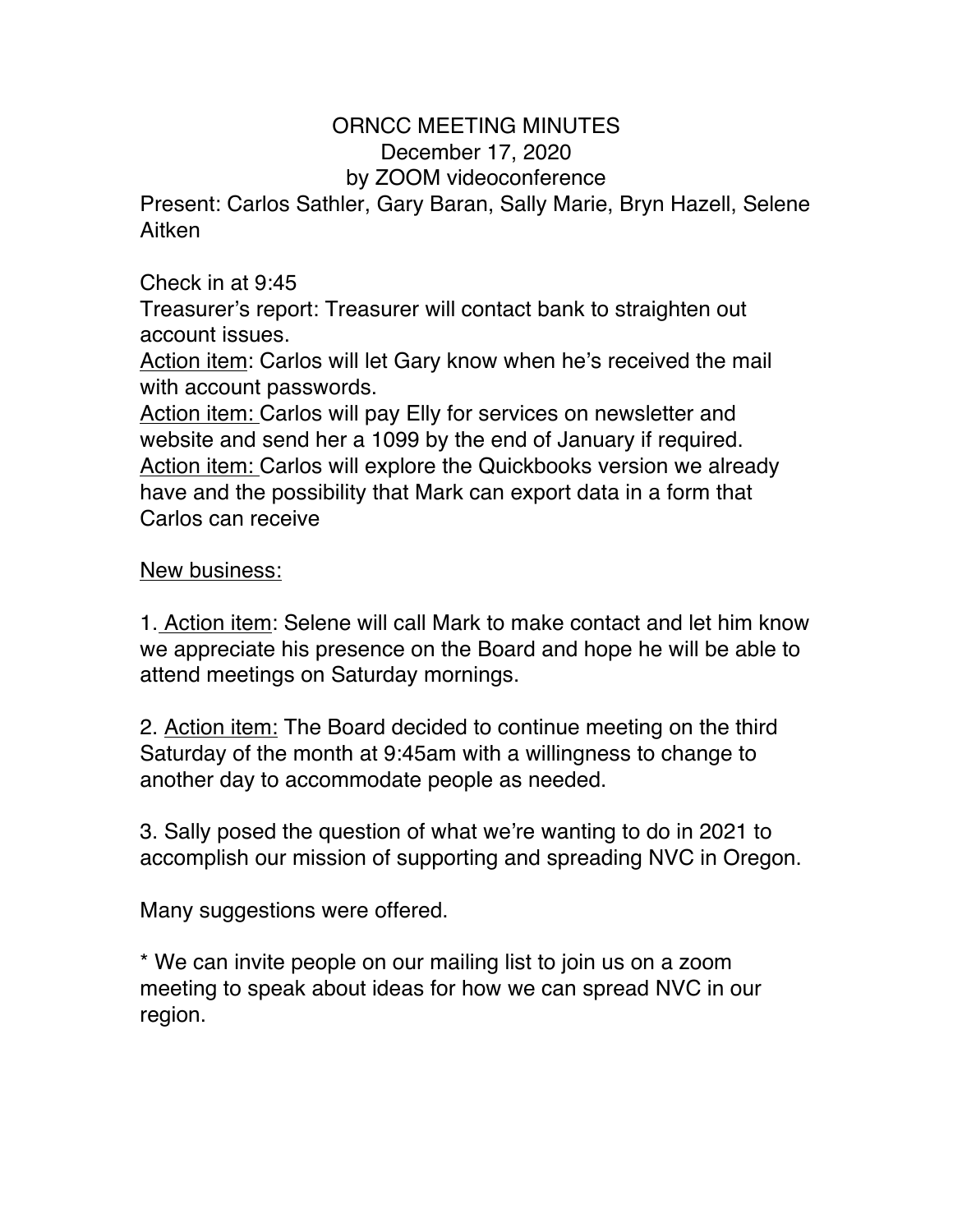## ORNCC MEETING MINUTES December 17, 2020

## by ZOOM videoconference

Present: Carlos Sathler, Gary Baran, Sally Marie, Bryn Hazell, Selene Aitken

## Check in at 9:45

Treasurer's report: Treasurer will contact bank to straighten out account issues.

Action item: Carlos will let Gary know when he's received the mail with account passwords.

Action item: Carlos will pay Elly for services on newsletter and website and send her a 1099 by the end of January if required. Action item: Carlos will explore the Quickbooks version we already have and the possibility that Mark can export data in a form that Carlos can receive

## New business:

1. Action item: Selene will call Mark to make contact and let him know we appreciate his presence on the Board and hope he will be able to attend meetings on Saturday mornings.

2. Action item: The Board decided to continue meeting on the third Saturday of the month at 9:45am with a willingness to change to another day to accommodate people as needed.

3. Sally posed the question of what we're wanting to do in 2021 to accomplish our mission of supporting and spreading NVC in Oregon.

Many suggestions were offered.

\* We can invite people on our mailing list to join us on a zoom meeting to speak about ideas for how we can spread NVC in our region.